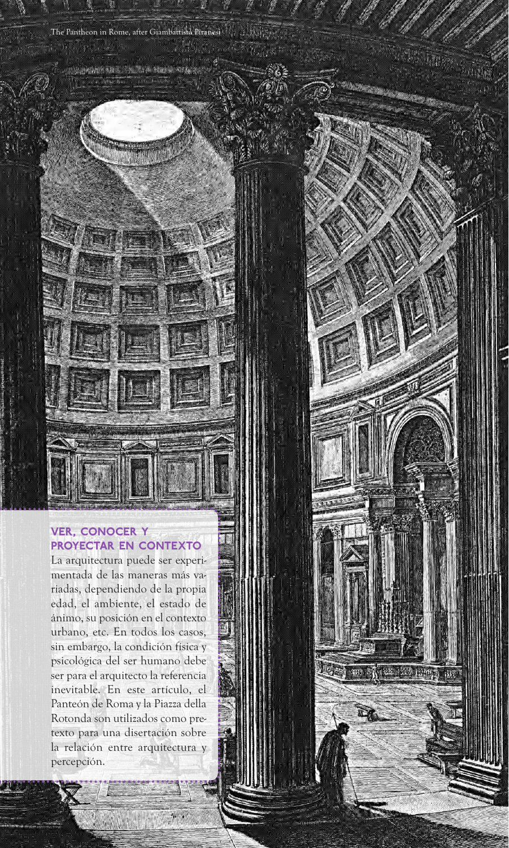

nte manar and challen beneficiated and  $1 - 0.05$ 

a mares

A.

## **Ver, conocer y proyectar en contexto**

La arquitectura puede ser experimentada de las maneras más variadas, dependiendo de la propia edad, el ambiente, el estado de ánimo, su posición en el contexto urbano, etc. En todos los casos, sin embargo, la condición física y psicológica del ser humano debe ser para el arquitecto la referencia inevitable. En este artículo, el Panteón de Roma y la Piazza della Rotonda son utilizados como pretexto para una disertación sobre la relación entre arquitectura y percepción.

ை நீர்∞ு இருந<sub>்த</sub>

 $155.5$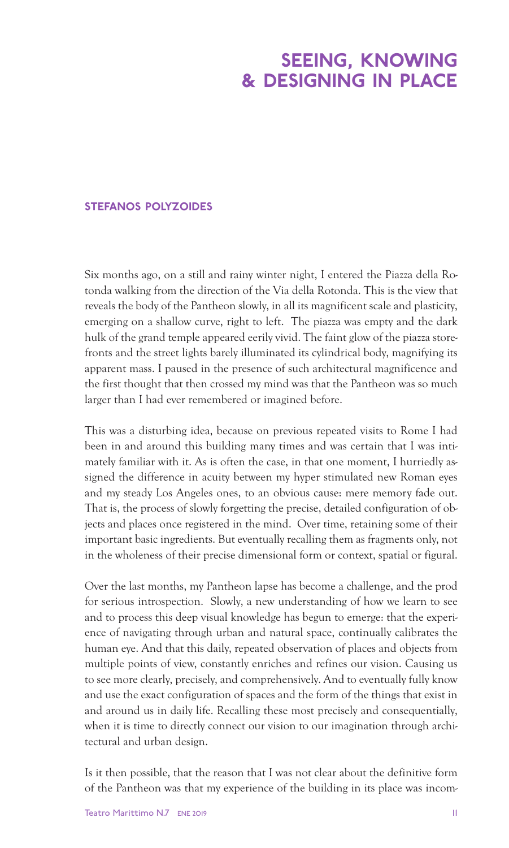## **Seeing, Knowing & Designing in Place**

## **Stefanos Polyzoides**

Six months ago, on a still and rainy winter night, I entered the Piazza della Rotonda walking from the direction of the Via della Rotonda. This is the view that reveals the body of the Pantheon slowly, in all its magnificent scale and plasticity, emerging on a shallow curve, right to left. The piazza was empty and the dark hulk of the grand temple appeared eerily vivid. The faint glow of the piazza storefronts and the street lights barely illuminated its cylindrical body, magnifying its apparent mass. I paused in the presence of such architectural magnificence and the first thought that then crossed my mind was that the Pantheon was so much larger than I had ever remembered or imagined before.

This was a disturbing idea, because on previous repeated visits to Rome I had been in and around this building many times and was certain that I was intimately familiar with it. As is often the case, in that one moment, I hurriedly assigned the difference in acuity between my hyper stimulated new Roman eyes and my steady Los Angeles ones, to an obvious cause: mere memory fade out. That is, the process of slowly forgetting the precise, detailed configuration of objects and places once registered in the mind. Over time, retaining some of their important basic ingredients. But eventually recalling them as fragments only, not in the wholeness of their precise dimensional form or context, spatial or figural.

Over the last months, my Pantheon lapse has become a challenge, and the prod for serious introspection. Slowly, a new understanding of how we learn to see and to process this deep visual knowledge has begun to emerge: that the experience of navigating through urban and natural space, continually calibrates the human eye. And that this daily, repeated observation of places and objects from multiple points of view, constantly enriches and refines our vision. Causing us to see more clearly, precisely, and comprehensively. And to eventually fully know and use the exact configuration of spaces and the form of the things that exist in and around us in daily life. Recalling these most precisely and consequentially, when it is time to directly connect our vision to our imagination through architectural and urban design.

Is it then possible, that the reason that I was not clear about the definitive form of the Pantheon was that my experience of the building in its place was incom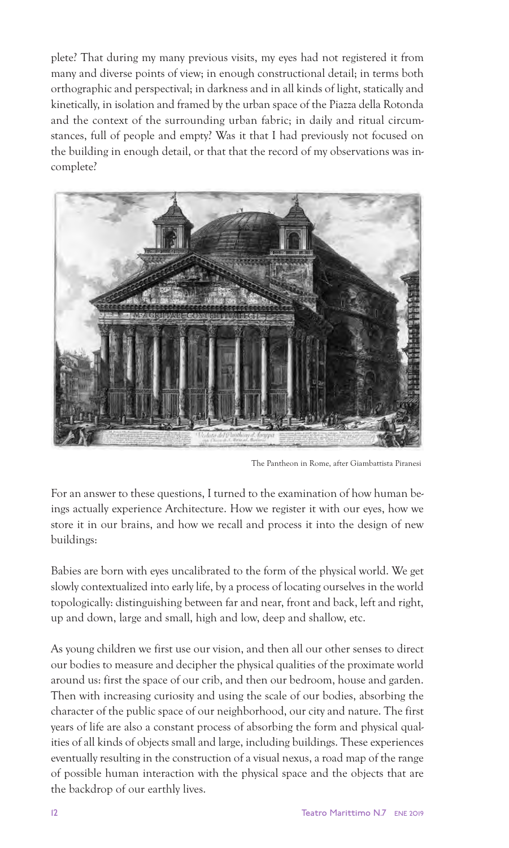plete? That during my many previous visits, my eyes had not registered it from many and diverse points of view; in enough constructional detail; in terms both orthographic and perspectival; in darkness and in all kinds of light, statically and kinetically, in isolation and framed by the urban space of the Piazza della Rotonda and the context of the surrounding urban fabric; in daily and ritual circumstances, full of people and empty? Was it that I had previously not focused on the building in enough detail, or that that the record of my observations was incomplete?



The Pantheon in Rome, after Giambattista Piranesi

For an answer to these questions, I turned to the examination of how human beings actually experience Architecture. How we register it with our eyes, how we store it in our brains, and how we recall and process it into the design of new buildings:

Babies are born with eyes uncalibrated to the form of the physical world. We get slowly contextualized into early life, by a process of locating ourselves in the world topologically: distinguishing between far and near, front and back, left and right, up and down, large and small, high and low, deep and shallow, etc.

As young children we first use our vision, and then all our other senses to direct our bodies to measure and decipher the physical qualities of the proximate world around us: first the space of our crib, and then our bedroom, house and garden. Then with increasing curiosity and using the scale of our bodies, absorbing the character of the public space of our neighborhood, our city and nature. The first years of life are also a constant process of absorbing the form and physical qualities of all kinds of objects small and large, including buildings. These experiences eventually resulting in the construction of a visual nexus, a road map of the range of possible human interaction with the physical space and the objects that are the backdrop of our earthly lives.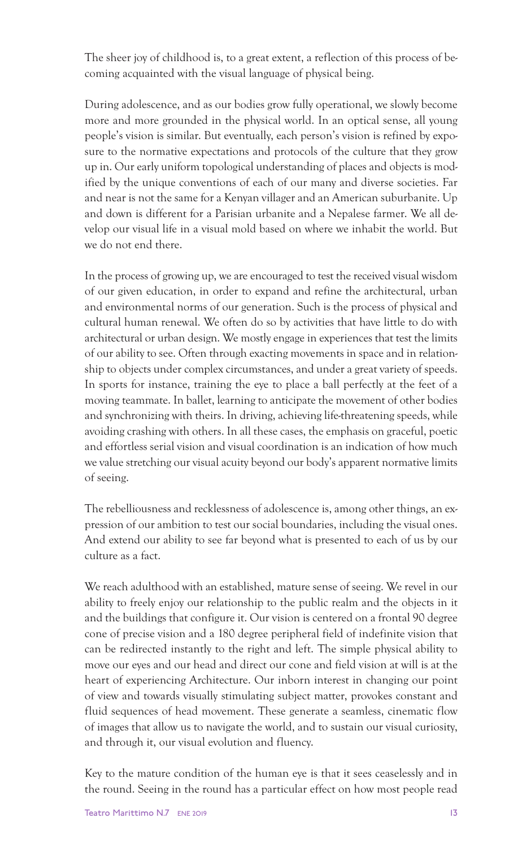The sheer joy of childhood is, to a great extent, a reflection of this process of becoming acquainted with the visual language of physical being.

During adolescence, and as our bodies grow fully operational, we slowly become more and more grounded in the physical world. In an optical sense, all young people's vision is similar. But eventually, each person's vision is refined by exposure to the normative expectations and protocols of the culture that they grow up in. Our early uniform topological understanding of places and objects is modified by the unique conventions of each of our many and diverse societies. Far and near is not the same for a Kenyan villager and an American suburbanite. Up and down is different for a Parisian urbanite and a Nepalese farmer. We all develop our visual life in a visual mold based on where we inhabit the world. But we do not end there.

In the process of growing up, we are encouraged to test the received visual wisdom of our given education, in order to expand and refine the architectural, urban and environmental norms of our generation. Such is the process of physical and cultural human renewal. We often do so by activities that have little to do with architectural or urban design. We mostly engage in experiences that test the limits of our ability to see. Often through exacting movements in space and in relationship to objects under complex circumstances, and under a great variety of speeds. In sports for instance, training the eye to place a ball perfectly at the feet of a moving teammate. In ballet, learning to anticipate the movement of other bodies and synchronizing with theirs. In driving, achieving life-threatening speeds, while avoiding crashing with others. In all these cases, the emphasis on graceful, poetic and effortless serial vision and visual coordination is an indication of how much we value stretching our visual acuity beyond our body's apparent normative limits of seeing.

The rebelliousness and recklessness of adolescence is, among other things, an expression of our ambition to test our social boundaries, including the visual ones. And extend our ability to see far beyond what is presented to each of us by our culture as a fact.

We reach adulthood with an established, mature sense of seeing. We revel in our ability to freely enjoy our relationship to the public realm and the objects in it and the buildings that configure it. Our vision is centered on a frontal 90 degree cone of precise vision and a 180 degree peripheral field of indefinite vision that can be redirected instantly to the right and left. The simple physical ability to move our eyes and our head and direct our cone and field vision at will is at the heart of experiencing Architecture. Our inborn interest in changing our point of view and towards visually stimulating subject matter, provokes constant and fluid sequences of head movement. These generate a seamless, cinematic flow of images that allow us to navigate the world, and to sustain our visual curiosity, and through it, our visual evolution and fluency.

Key to the mature condition of the human eye is that it sees ceaselessly and in the round. Seeing in the round has a particular effect on how most people read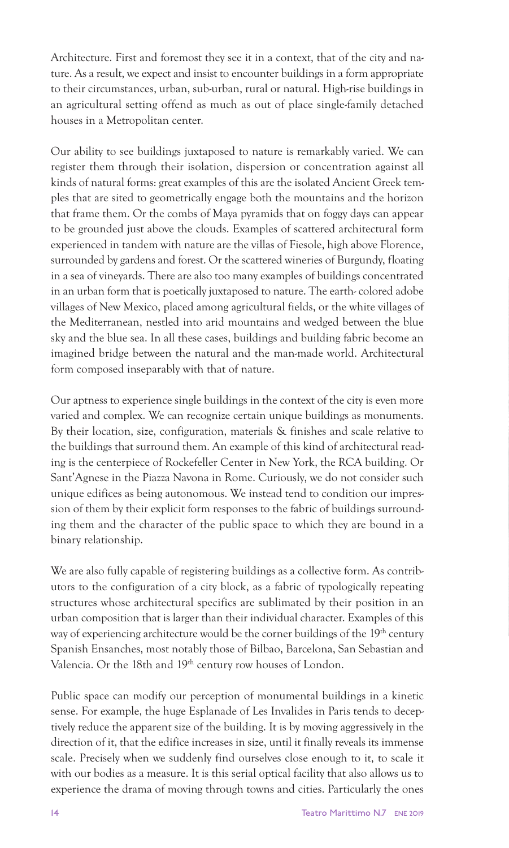Architecture. First and foremost they see it in a context, that of the city and nature. As a result, we expect and insist to encounter buildings in a form appropriate to their circumstances, urban, sub-urban, rural or natural. High-rise buildings in an agricultural setting offend as much as out of place single-family detached houses in a Metropolitan center.

Our ability to see buildings juxtaposed to nature is remarkably varied. We can register them through their isolation, dispersion or concentration against all kinds of natural forms: great examples of this are the isolated Ancient Greek temples that are sited to geometrically engage both the mountains and the horizon that frame them. Or the combs of Maya pyramids that on foggy days can appear to be grounded just above the clouds. Examples of scattered architectural form experienced in tandem with nature are the villas of Fiesole, high above Florence, surrounded by gardens and forest. Or the scattered wineries of Burgundy, floating in a sea of vineyards. There are also too many examples of buildings concentrated in an urban form that is poetically juxtaposed to nature. The earth- colored adobe villages of New Mexico, placed among agricultural fields, or the white villages of the Mediterranean, nestled into arid mountains and wedged between the blue sky and the blue sea. In all these cases, buildings and building fabric become an imagined bridge between the natural and the man-made world. Architectural form composed inseparably with that of nature.

Our aptness to experience single buildings in the context of the city is even more varied and complex. We can recognize certain unique buildings as monuments. By their location, size, configuration, materials & finishes and scale relative to the buildings that surround them. An example of this kind of architectural reading is the centerpiece of Rockefeller Center in New York, the RCA building. Or Sant'Agnese in the Piazza Navona in Rome. Curiously, we do not consider such unique edifices as being autonomous. We instead tend to condition our impression of them by their explicit form responses to the fabric of buildings surrounding them and the character of the public space to which they are bound in a binary relationship.

We are also fully capable of registering buildings as a collective form. As contributors to the configuration of a city block, as a fabric of typologically repeating structures whose architectural specifics are sublimated by their position in an urban composition that is larger than their individual character. Examples of this way of experiencing architecture would be the corner buildings of the  $19<sup>th</sup>$  century Spanish Ensanches, most notably those of Bilbao, Barcelona, San Sebastian and Valencia. Or the 18th and 19<sup>th</sup> century row houses of London.

Public space can modify our perception of monumental buildings in a kinetic sense. For example, the huge Esplanade of Les Invalides in Paris tends to deceptively reduce the apparent size of the building. It is by moving aggressively in the direction of it, that the edifice increases in size, until it finally reveals its immense scale. Precisely when we suddenly find ourselves close enough to it, to scale it with our bodies as a measure. It is this serial optical facility that also allows us to experience the drama of moving through towns and cities. Particularly the ones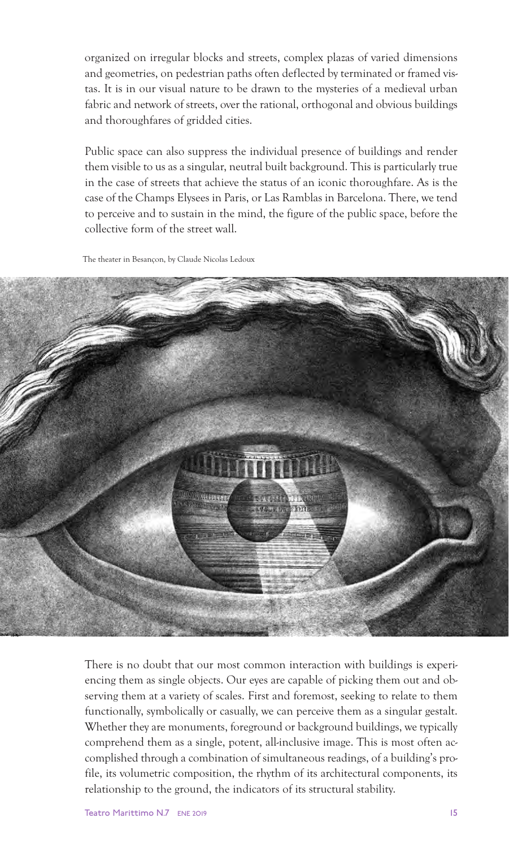organized on irregular blocks and streets, complex plazas of varied dimensions and geometries, on pedestrian paths often deflected by terminated or framed vistas. It is in our visual nature to be drawn to the mysteries of a medieval urban fabric and network of streets, over the rational, orthogonal and obvious buildings and thoroughfares of gridded cities.

Public space can also suppress the individual presence of buildings and render them visible to us as a singular, neutral built background. This is particularly true in the case of streets that achieve the status of an iconic thoroughfare. As is the case of the Champs Elysees in Paris, or Las Ramblas in Barcelona. There, we tend to perceive and to sustain in the mind, the figure of the public space, before the collective form of the street wall.

The theater in Besançon, by Claude Nicolas Ledoux



There is no doubt that our most common interaction with buildings is experiencing them as single objects. Our eyes are capable of picking them out and observing them at a variety of scales. First and foremost, seeking to relate to them functionally, symbolically or casually, we can perceive them as a singular gestalt. Whether they are monuments, foreground or background buildings, we typically comprehend them as a single, potent, all-inclusive image. This is most often accomplished through a combination of simultaneous readings, of a building's profile, its volumetric composition, the rhythm of its architectural components, its relationship to the ground, the indicators of its structural stability.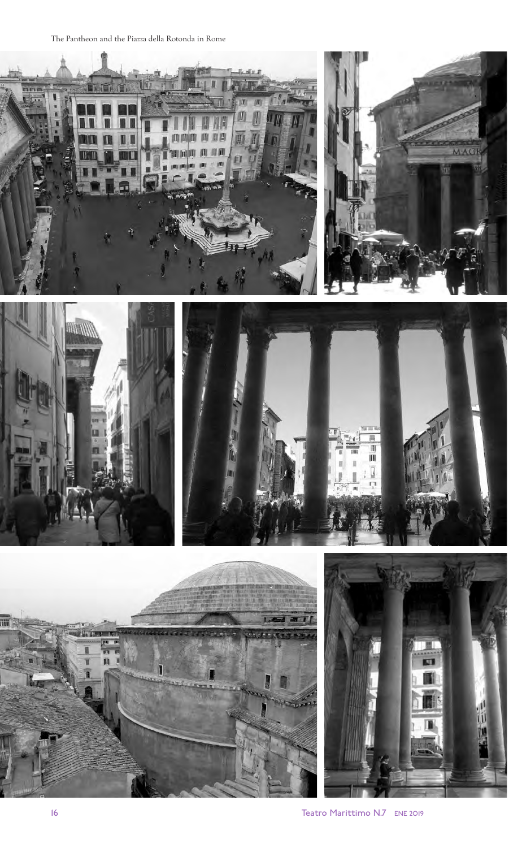





16 Teatro Marittimo N.7 ENE 2O19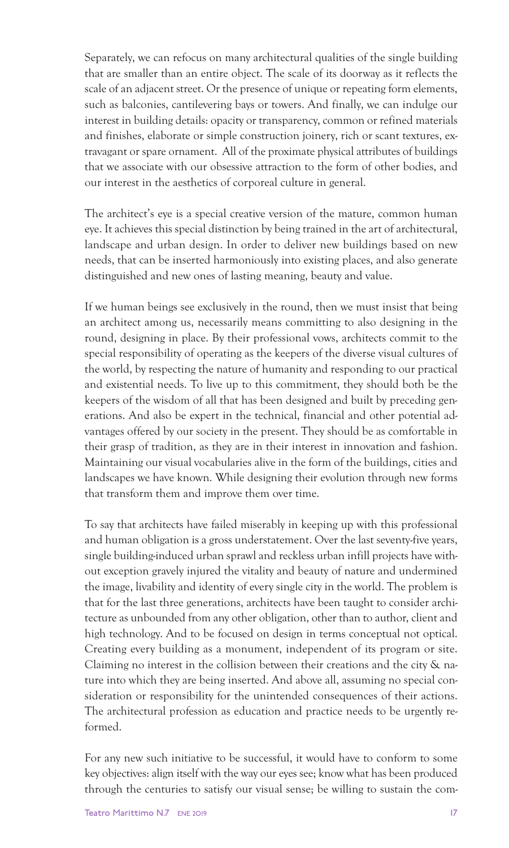Separately, we can refocus on many architectural qualities of the single building that are smaller than an entire object. The scale of its doorway as it reflects the scale of an adjacent street. Or the presence of unique or repeating form elements, such as balconies, cantilevering bays or towers. And finally, we can indulge our interest in building details: opacity or transparency, common or refined materials and finishes, elaborate or simple construction joinery, rich or scant textures, extravagant or spare ornament. All of the proximate physical attributes of buildings that we associate with our obsessive attraction to the form of other bodies, and our interest in the aesthetics of corporeal culture in general.

The architect's eye is a special creative version of the mature, common human eye. It achieves this special distinction by being trained in the art of architectural, landscape and urban design. In order to deliver new buildings based on new needs, that can be inserted harmoniously into existing places, and also generate distinguished and new ones of lasting meaning, beauty and value.

If we human beings see exclusively in the round, then we must insist that being an architect among us, necessarily means committing to also designing in the round, designing in place. By their professional vows, architects commit to the special responsibility of operating as the keepers of the diverse visual cultures of the world, by respecting the nature of humanity and responding to our practical and existential needs. To live up to this commitment, they should both be the keepers of the wisdom of all that has been designed and built by preceding generations. And also be expert in the technical, financial and other potential advantages offered by our society in the present. They should be as comfortable in their grasp of tradition, as they are in their interest in innovation and fashion. Maintaining our visual vocabularies alive in the form of the buildings, cities and landscapes we have known. While designing their evolution through new forms that transform them and improve them over time.

To say that architects have failed miserably in keeping up with this professional and human obligation is a gross understatement. Over the last seventy-five years, single building-induced urban sprawl and reckless urban infill projects have without exception gravely injured the vitality and beauty of nature and undermined the image, livability and identity of every single city in the world. The problem is that for the last three generations, architects have been taught to consider architecture as unbounded from any other obligation, other than to author, client and high technology. And to be focused on design in terms conceptual not optical. Creating every building as a monument, independent of its program or site. Claiming no interest in the collision between their creations and the city & nature into which they are being inserted. And above all, assuming no special consideration or responsibility for the unintended consequences of their actions. The architectural profession as education and practice needs to be urgently reformed.

For any new such initiative to be successful, it would have to conform to some key objectives: align itself with the way our eyes see; know what has been produced through the centuries to satisfy our visual sense; be willing to sustain the com-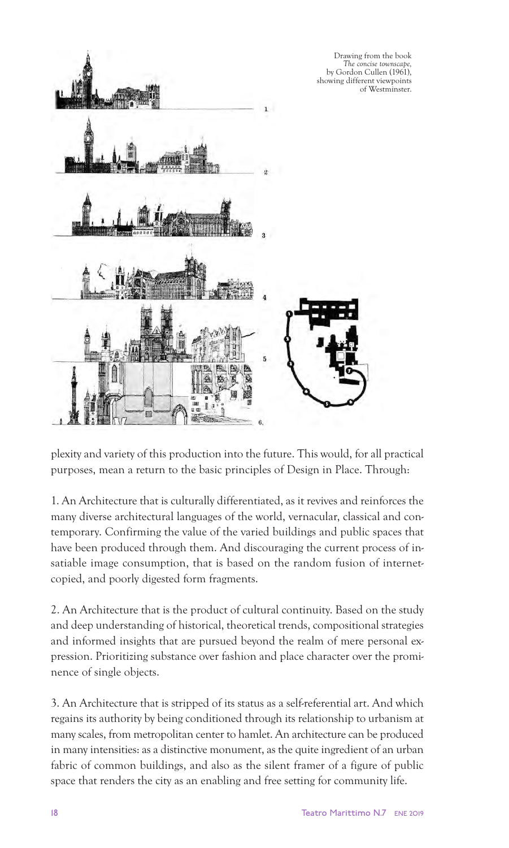

plexity and variety of this production into the future. This would, for all practical purposes, mean a return to the basic principles of Design in Place. Through:

1. An Architecture that is culturally differentiated, as it revives and reinforces the many diverse architectural languages of the world, vernacular, classical and contemporary. Confirming the value of the varied buildings and public spaces that have been produced through them. And discouraging the current process of insatiable image consumption, that is based on the random fusion of internetcopied, and poorly digested form fragments.

2. An Architecture that is the product of cultural continuity. Based on the study and deep understanding of historical, theoretical trends, compositional strategies and informed insights that are pursued beyond the realm of mere personal expression. Prioritizing substance over fashion and place character over the prominence of single objects.

3. An Architecture that is stripped of its status as a self-referential art. And which regains its authority by being conditioned through its relationship to urbanism at many scales, from metropolitan center to hamlet. An architecture can be produced in many intensities: as a distinctive monument, as the quite ingredient of an urban fabric of common buildings, and also as the silent framer of a figure of public space that renders the city as an enabling and free setting for community life.